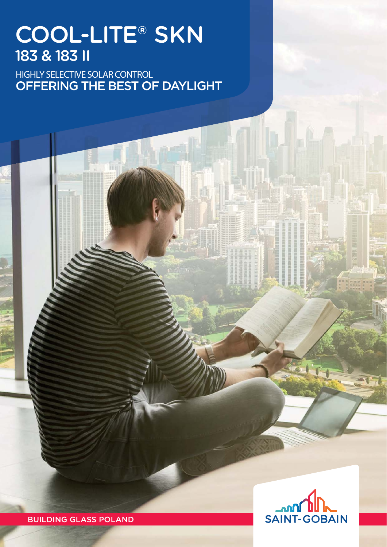## COOL-LITE® SKN 183 & 183 II

HIGHLY SELECTIVE SOLAR CONTROL OFFERING THE BEST OF DAYLIGHT



BUILDING GLASS POLAND